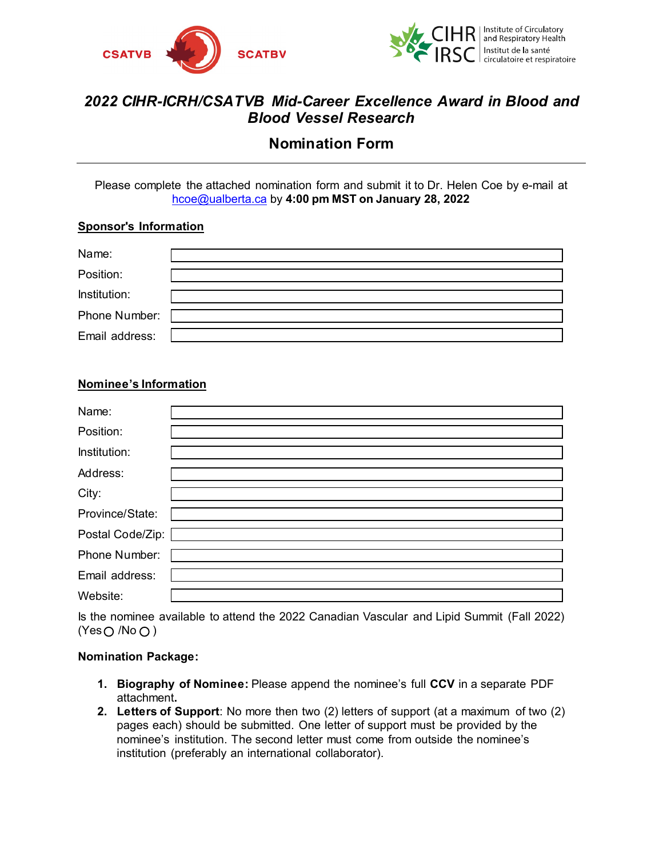



# *2022 CIHR-ICRH/CSATVB Mid-Career Excellence Award in Blood and Blood Vessel Research*

## **Nomination Form**

Please complete the attached nomination form and submit it to Dr. Helen Coe by e-mail at [hcoe@ualberta.ca](mailto:hcoe@ualberta.ca) by **4:00 pm MST on January 28, 2022**

#### **Sponsor's Information**

| Name:          |  |
|----------------|--|
| Position:      |  |
| Institution:   |  |
| Phone Number:  |  |
| Email address: |  |

## **Nominee's Information**

| Name:            |  |
|------------------|--|
| Position:        |  |
| Institution:     |  |
| Address:         |  |
| City:            |  |
| Province/State:  |  |
| Postal Code/Zip: |  |
| Phone Number:    |  |
| Email address:   |  |
| Website:         |  |

Is the nominee available to attend the 2022 Canadian Vascular and Lipid Summit (Fall 2022)  $(Yes \bigcirc No \bigcirc)$ 

### **Nomination Package:**

- **1. Biography of Nominee:** Please append the nominee's full **CCV** in a separate PDF attachment**.**
- **2. Letters of Support**: No more then two (2) letters of support (at a maximum of two (2) pages each) should be submitted. One letter of support must be provided by the nominee's institution. The second letter must come from outside the nominee's institution (preferably an international collaborator).